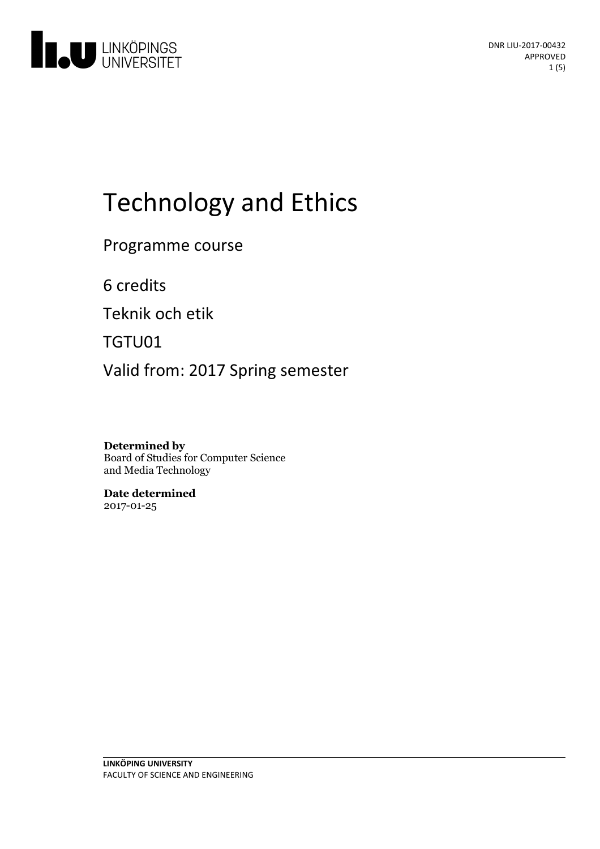

# Technologyand Ethics

Programme course

6 credits

Teknik och etik

TGTU01

Valid from: 2017 Spring semester

**Determined by** Board of Studies for Computer Science and Media Technology

**Date determined** 2017-01-25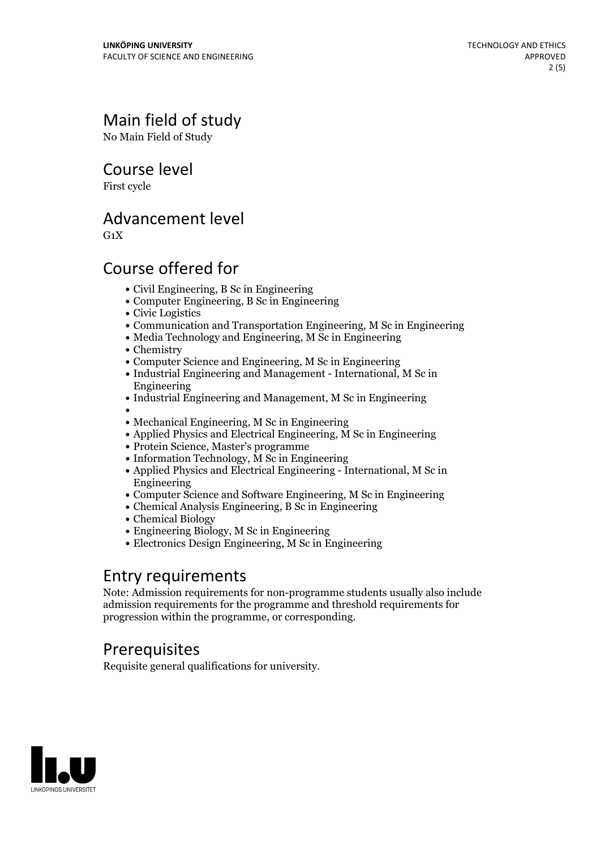# Main field of study

No Main Field of Study

Course level

First cycle

### Advancement level

 $G_1X$ 

## Course offered for

- Civil Engineering, B Sc in Engineering
- Computer Engineering, B Sc in Engineering
- Civic Logistics
- Communication and Transportation Engineering, M Sc in Engineering
- Media Technology and Engineering, M Sc in Engineering
- Chemistry
- Computer Science and Engineering, M Sc in Engineering
- Industrial Engineering and Management International, M Sc in Engineering
- Industrial Engineering and Management, M Sc in Engineering
- 
- Mechanical Engineering, M Sc in Engineering
- Applied Physics and Electrical Engineering, M Sc in Engineering
- Protein Science, Master's programme
- Information Technology, M Sc in Engineering
- Applied Physics and Electrical Engineering International, M Sc in Engineering
- Computer Science and Software Engineering, M Sc in Engineering
- Chemical Analysis Engineering, B Sc in Engineering
- Chemical Biology
- Engineering Biology, M Sc in Engineering
- Electronics Design Engineering, M Sc in Engineering

#### Entry requirements

Note: Admission requirements for non-programme students usually also include admission requirements for the programme and threshold requirements for progression within the programme, or corresponding.

### **Prerequisites**

Requisite general qualifications for university.

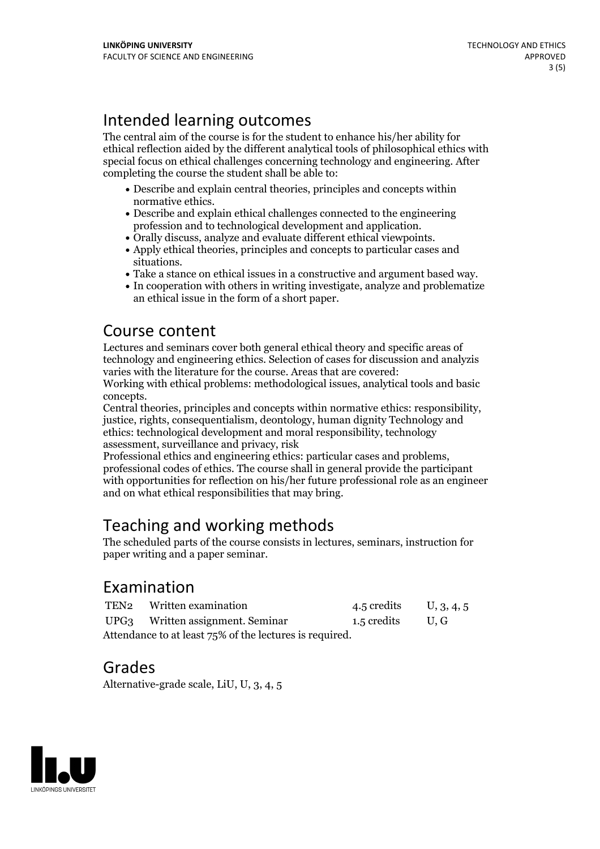## Intended learning outcomes

The central aim of the course is for the student to enhance his/her ability for ethical reflection aided by the different analytical tools of philosophical ethics with special focus on ethical challenges concerning technology and engineering. After completing the course the student shall be able to:

- Describe and explain central theories, principles and concepts within
- normative ethics.<br>• Describe and explain ethical challenges connected to the engineering<br>profession and to technological development and application.
- 
- Orally discuss, analyze and evaluate different ethical viewpoints.<br>• Apply ethical theories, principles and concepts to particular cases and situations.
- Take a stance on ethical issues in a constructive and argument based way.<br>• In cooperation with others in writing investigate, analyze and problematize
- an ethical issue in the form of a short paper.

### Course content

Lectures and seminars cover both general ethical theory and specific areas of technology and engineering ethics. Selection of cases for discussion and analyzis varies with the literature for the course. Areas that are covered:

Working with ethical problems: methodological issues, analytical tools and basic

concepts. Central theories, principles and concepts within normative ethics: responsibility, justice, rights, consequentialism, deontology, human dignity Technology and ethics: technological development and moral responsibility, technology

assessment, surveillance and privacy, risk professional codes of ethics. The course shall in general provide the participant with opportunities for reflection on his/her future professional role as an engineer and on what ethical responsibilities that may bring.

## Teaching and working methods

The scheduled parts of the course consists in lectures, seminars, instruction for paper writing and a paper seminar.

#### Examination

|                                                         | TEN2 Written examination         | 4.5 credits U, 3, 4, 5 |  |
|---------------------------------------------------------|----------------------------------|------------------------|--|
|                                                         | UPG3 Written assignment. Seminar | 1.5 credits U.G        |  |
| Attendance to at least 75% of the lectures is required. |                                  |                        |  |

#### Grades

Alternative-grade scale, LiU, U, 3, 4, 5

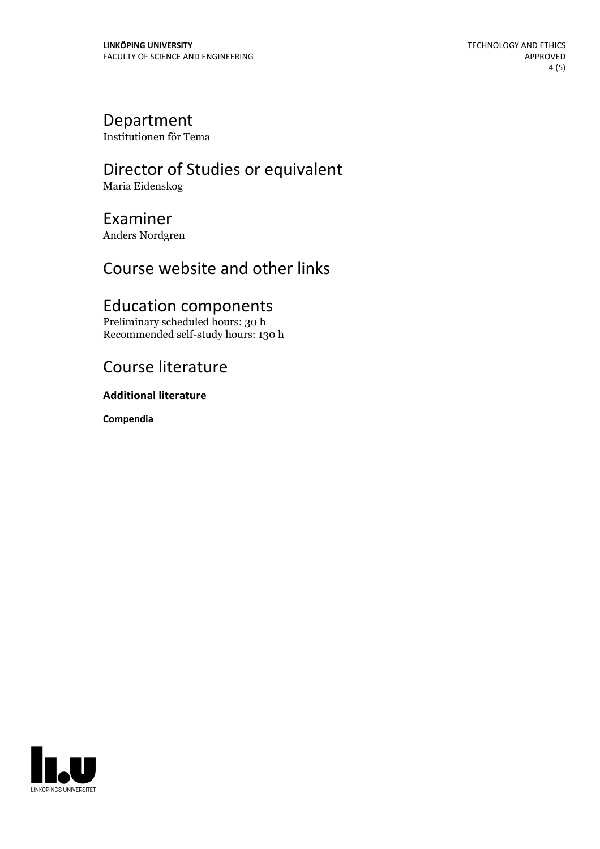#### Department

Institutionen för Tema

#### Director of Studies or equivalent Maria Eidenskog

## Examiner

Anders Nordgren

## Course website and other links

## Education components

Preliminary scheduled hours: 30 h Recommended self-study hours: 130 h

## Course literature

#### **Additional literature**

**Compendia**